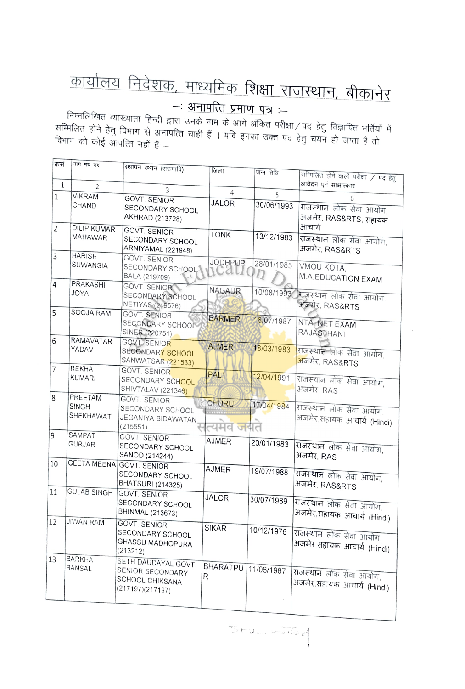## <u>कार्यालय निदेशक, माध्यमिक शिक्षा राजस्थान, बीकानेर</u><br>--: <u>अनापत्ति प्रमाण पत्र</u><br>निम्नलिखित व्याख्याता हिन्दी द्वारा उनके नाम के आगे अंकित परीक्षा/पद हेतु विज्ञापित भर्तियों में

म्मानिति होने हेतु विभाग से अनापत्ति चाही हैं । यदि इनका उक्त परीक्षा / पद हेतु विज्ञापित भर्तियों<br>सम्मिलित होने हेतु विभाग से अनापत्ति चाही हैं । यदि इनका उक्त पद हेतु चयन हो जाता है तो विभाग को कोई आपत्ति नहीं हैं –

| क्रसं        | नाम मय पद                 |                                      |                         |            |                                       |
|--------------|---------------------------|--------------------------------------|-------------------------|------------|---------------------------------------|
|              |                           | स्थापन स्थान (राउमावि)               | जिला                    | जन्म तिथि  | सम्मिलित होने वाली परीक्षा / पद हेतु  |
| $\mathbf{1}$ | $\overline{2}$            |                                      |                         |            | आवेदन एवं साक्षात्कार                 |
| $\mathbf{1}$ | <b>VIKRAM</b>             | 3                                    | $\overline{4}$          | 5          |                                       |
|              | CHAND                     | <b>GOVT. SENIOR</b>                  | <b>JALOR</b>            | 30/06/1993 | 6                                     |
|              |                           | SECONDARY SCHOOL                     |                         |            | राजस्थान लोक सेवा आयोग,               |
|              |                           | AKHRAD (213728)                      |                         |            | अजमेर, RAS&RTS, सहायक                 |
| 2            | <b>DILIP KUMAR</b>        | <b>GOVT. SENIOR</b>                  | TONK                    | 13/12/1983 | आचार्य                                |
|              | MAHAWAR                   | SECONDARY SCHOOL                     |                         |            | राजस्थान लोक सेवा आयोग,               |
| 3            | <b>HARISH</b>             | ARNIYAMAL (221948)                   |                         |            | अजमेर, RAS&RTS                        |
|              | SUWANSIA                  | <b>GOVT. SENIOR</b>                  | JODHPUR                 | 28/01/1985 |                                       |
|              |                           | SECONDARY SCHOOL                     | UGLI                    | $\eta$     | VMOU KOTA.                            |
| 4            | <b>PRAKASHI</b>           | BALA (219709)                        |                         |            | M.A.EDUCATION EXAM                    |
|              | <b>JOYA</b>               | GOVT. SENIOR                         | <b>NAGAUR</b>           |            | 10/08/1993 राजस्थान लोक सेवा आयोग,    |
|              |                           | SECONDARY SCHOOL<br>NETIYAS (219576) |                         |            | अजमेर, RAS&RTS                        |
| 5            | SOOJA RAM                 | <b>GOVT. SENIOR</b>                  |                         |            |                                       |
|              |                           | SECONDARY SCHOOL                     | <b>BARMER</b>           | 16/07/1987 | NTA, NET EXAM                         |
|              |                           | SINER (220751)                       |                         |            | RAJASTHANI                            |
| 6            | <b>RAMAVATAR</b>          | <b>GOVT SENIOR</b>                   |                         |            |                                       |
|              | YADAV                     | SECONDARY SCHOOL                     | <b>AJMER</b>            | 18/03/1983 | राजस्थान लोक सेवा आयोग,               |
|              |                           | SANWATSAR (221533)                   |                         |            | अजमेर, RAS& <b>RTS</b>                |
| 7            | <b>REKHA</b>              | <b>GOVT. SENIOR</b>                  | PALI                    |            |                                       |
|              | <b>KUMARI</b>             | SECONDARY SCHOOL                     |                         | 12/04/1991 | राजस्थान लोक सेवा आयोग,               |
|              |                           | <b>SHIVTALAV (221346)</b>            |                         |            | अजमेर, RAS                            |
| 8            | PREETAM                   | <b>GOVT SENIOR</b>                   | CHURU                   | 17/04/1984 |                                       |
|              | <b>SINGH</b><br>SHEKHAWAT | SECONDARY SCHOOL                     |                         |            | राजस्थान लोक सेवा आयोग,               |
|              |                           | JEGANIYA BIDAWATAN                   |                         |            | अजमेर,सहायक आचार्य (Hindi)            |
| 9            | SAMPAT                    | (215551)                             | त्यमव <mark>ज</mark> यत |            |                                       |
|              | <b>GURJAR</b>             | <b>GOVT. SENIOR</b>                  | <b>AJMER</b>            | 20/01/1983 |                                       |
|              |                           | SECONDARY SCHOOL<br>SANOD (214244)   |                         |            | राजस्थान लोक सेवा आयोग,<br>अजमेर, RAS |
| 10           |                           | GEETA MEENA GOVT. SENIOR             |                         |            |                                       |
|              |                           | SECONDARY SCHOOL                     | <b>AJMER</b>            | 19/07/1988 | राजस्थान लोक सेवा आयोग,               |
|              |                           | <b>BHATSURI (214325)</b>             |                         |            | अजमेर, RAS&RTS                        |
| 11           | <b>GULAB SINGH</b>        | <b>GOVT. SENIOR</b>                  |                         |            |                                       |
|              |                           | SECONDARY SCHOOL                     | <b>JALOR</b>            | 30/07/1989 | राजस्थान लोक सेवा आयोग,               |
|              |                           | BHINMAL (213673)                     |                         |            | अजमेर,सहायक आचार्य (Hindi)            |
| 12           | <b>JIWAN RAM</b>          | <b>GOVT. SENIOR</b>                  |                         |            |                                       |
|              |                           | SECONDARY SCHOOL                     | <b>SIKAR</b>            | 10/12/1976 | राजस्थान लोक सेवा आयोग,               |
|              |                           | GHASSU MADHOPURA                     |                         |            | अजमेर,सहायक आचार्य (Hindi)            |
|              |                           | (213212)                             |                         |            |                                       |
| 13           | <b>BARKHA</b>             | SETH DAUDAYAL GOVT                   |                         |            |                                       |
|              | BANSAL                    | SENIOR SECONDARY                     | BHARATPU                | 11/06/1987 | राजस्थान लोक सेवा आयोग,               |
|              |                           | SCHOOL CHIKSANA                      | R                       |            | अजमेर,सहायक आचार्य (Hindi)            |
|              |                           | (217197)(217197)                     |                         |            |                                       |
|              |                           |                                      |                         |            |                                       |

 $5 - 2 - 5$